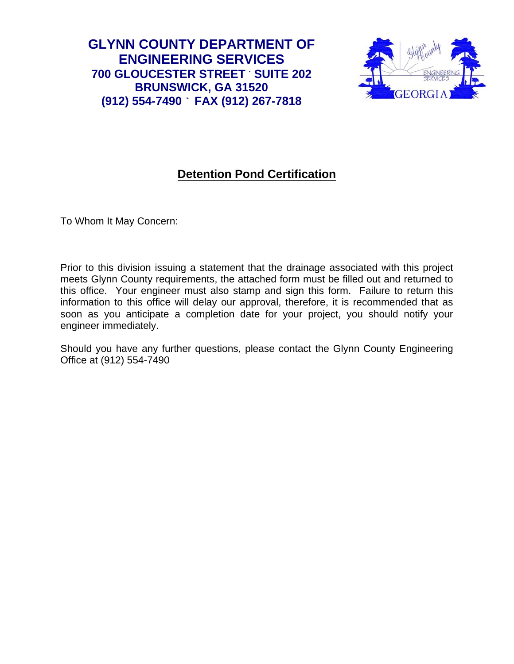**GLYNN COUNTY DEPARTMENT OF ENGINEERING SERVICES 700 GLOUCESTER STREET . SUITE 202 BRUNSWICK, GA 31520 .. (912) 554-7490 . FAX (912) 267-7818** 



## **Detention Pond Certification**

To Whom It May Concern:

Prior to this division issuing a statement that the drainage associated with this project meets Glynn County requirements, the attached form must be filled out and returned to this office. Your engineer must also stamp and sign this form. Failure to return this information to this office will delay our approval, therefore, it is recommended that as soon as you anticipate a completion date for your project, you should notify your engineer immediately.

Should you have any further questions, please contact the Glynn County Engineering Office at (912) 554-7490